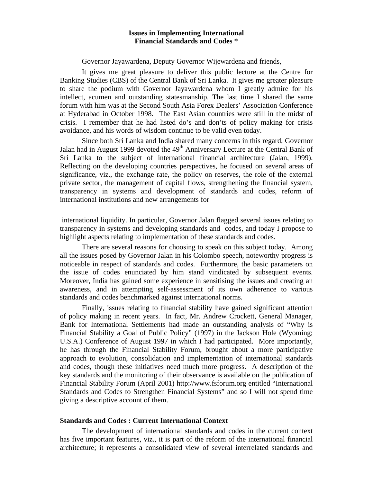# **Issues in Implementing International Financial Standards and Codes \***

Governor Jayawardena, Deputy Governor Wijewardena and friends,

It gives me great pleasure to deliver this public lecture at the Centre for Banking Studies (CBS) of the Central Bank of Sri Lanka. It gives me greater pleasure to share the podium with Governor Jayawardena whom I greatly admire for his intellect, acumen and outstanding statesmanship. The last time I shared the same forum with him was at the Second South Asia Forex Dealers' Association Conference at Hyderabad in October 1998. The East Asian countries were still in the midst of crisis. I remember that he had listed do's and don'ts of policy making for crisis avoidance, and his words of wisdom continue to be valid even today.

Since both Sri Lanka and India shared many concerns in this regard, Governor Jalan had in August 1999 devoted the 49<sup>th</sup> Anniversary Lecture at the Central Bank of Sri Lanka to the subject of international financial architecture (Jalan, 1999). Reflecting on the developing countries perspectives, he focused on several areas of significance, viz., the exchange rate, the policy on reserves, the role of the external private sector, the management of capital flows, strengthening the financial system, transparency in systems and development of standards and codes, reform of international institutions and new arrangements for

international liquidity. In particular, Governor Jalan flagged several issues relating to transparency in systems and developing standards and codes, and today I propose to highlight aspects relating to implementation of these standards and codes.

There are several reasons for choosing to speak on this subject today. Among all the issues posed by Governor Jalan in his Colombo speech, noteworthy progress is noticeable in respect of standards and codes. Furthermore, the basic parameters on the issue of codes enunciated by him stand vindicated by subsequent events. Moreover, India has gained some experience in sensitising the issues and creating an awareness, and in attempting self-assessment of its own adherence to various standards and codes benchmarked against international norms.

Finally, issues relating to financial stability have gained significant attention of policy making in recent years. In fact, Mr. Andrew Crockett, General Manager, Bank for International Settlements had made an outstanding analysis of "Why is Financial Stability a Goal of Public Policy" (1997) in the Jackson Hole (Wyoming; U.S.A.) Conference of August 1997 in which I had participated. More importantly, he has through the Financial Stability Forum, brought about a more participative approach to evolution, consolidation and implementation of international standards and codes, though these initiatives need much more progress. A description of the key standards and the monitoring of their observance is available on the publication of Financial Stability Forum (April 2001) http://www.fsforum.org entitled "International Standards and Codes to Strengthen Financial Systems" and so I will not spend time giving a descriptive account of them.

## **Standards and Codes : Current International Context**

The development of international standards and codes in the current context has five important features, viz., it is part of the reform of the international financial architecture; it represents a consolidated view of several interrelated standards and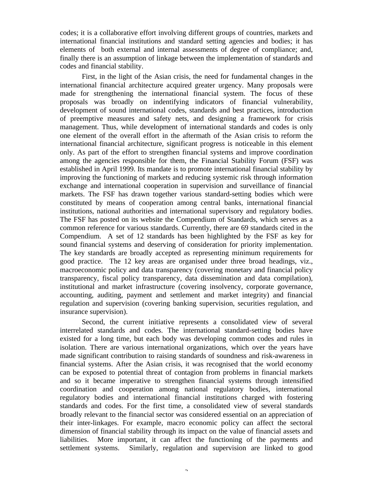codes; it is a collaborative effort involving different groups of countries, markets and international financial institutions and standard setting agencies and bodies; it has elements of both external and internal assessments of degree of compliance; and, finally there is an assumption of linkage between the implementation of standards and codes and financial stability.

First, in the light of the Asian crisis, the need for fundamental changes in the international financial architecture acquired greater urgency. Many proposals were made for strengthening the international financial system. The focus of these proposals was broadly on indentifying indicators of financial vulnerability, development of sound international codes, standards and best practices, introduction of preemptive measures and safety nets, and designing a framework for crisis management. Thus, while development of international standards and codes is only one element of the overall effort in the aftermath of the Asian crisis to reform the international financial architecture, significant progress is noticeable in this element only. As part of the effort to strengthen financial systems and improve coordination among the agencies responsible for them, the Financial Stability Forum (FSF) was established in April 1999. Its mandate is to promote international financial stability by improving the functioning of markets and reducing systemic risk through information exchange and international cooperation in supervision and surveillance of financial markets. The FSF has drawn together various standard-setting bodies which were constituted by means of cooperation among central banks, international financial institutions, national authorities and international supervisory and regulatory bodies. The FSF has posted on its website the Compendium of Standards, which serves as a common reference for various standards. Currently, there are 69 standards cited in the Compendium. A set of 12 standards has been highlighted by the FSF as key for sound financial systems and deserving of consideration for priority implementation. The key standards are broadly accepted as representing minimum requirements for good practice. The 12 key areas are organised under three broad headings, viz., macroeconomic policy and data transparency (covering monetary and financial policy transparency, fiscal policy transparency, data dissemination and data compilation), institutional and market infrastructure (covering insolvency, corporate governance, accounting, auditing, payment and settlement and market integrity) and financial regulation and supervision (covering banking supervision, securities regulation, and insurance supervision).

Second, the current initiative represents a consolidated view of several interrelated standards and codes. The international standard-setting bodies have existed for a long time, but each body was developing common codes and rules in isolation. There are various international organizations, which over the years have made significant contribution to raising standards of soundness and risk-awareness in financial systems. After the Asian crisis, it was recognised that the world economy can be exposed to potential threat of contagion from problems in financial markets and so it became imperative to strengthen financial systems through intensified coordination and cooperation among national regulatory bodies, international regulatory bodies and international financial institutions charged with fostering standards and codes. For the first time, a consolidated view of several standards broadly relevant to the financial sector was considered essential on an appreciation of their inter-linkages. For example, macro economic policy can affect the sectoral dimension of financial stability through its impact on the value of financial assets and liabilities. More important, it can affect the functioning of the payments and settlement systems. Similarly, regulation and supervision are linked to good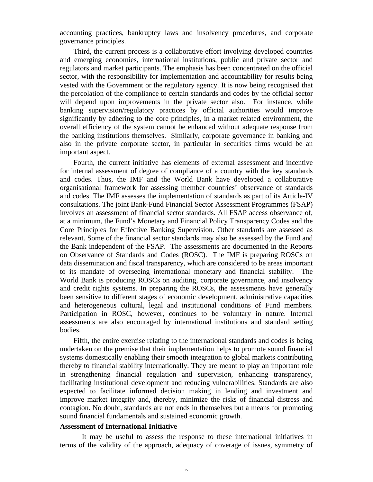accounting practices, bankruptcy laws and insolvency procedures, and corporate governance principles.

Third, the current process is a collaborative effort involving developed countries and emerging economies, international institutions, public and private sector and regulators and market participants. The emphasis has been concentrated on the official sector, with the responsibility for implementation and accountability for results being vested with the Government or the regulatory agency. It is now being recognised that the percolation of the compliance to certain standards and codes by the official sector will depend upon improvements in the private sector also. For instance, while banking supervision/regulatory practices by official authorities would improve significantly by adhering to the core principles, in a market related environment, the overall efficiency of the system cannot be enhanced without adequate response from the banking institutions themselves. Similarly, corporate governance in banking and also in the private corporate sector, in particular in securities firms would be an important aspect.

Fourth, the current initiative has elements of external assessment and incentive for internal assessment of degree of compliance of a country with the key standards and codes. Thus, the IMF and the World Bank have developed a collaborative organisational framework for assessing member countries' observance of standards and codes. The IMF assesses the implementation of standards as part of its Article-IV consultations. The joint Bank-Fund Financial Sector Assessment Programmes (FSAP) involves an assessment of financial sector standards. All FSAP access observance of, at a minimum, the Fund's Monetary and Financial Policy Transparency Codes and the Core Principles for Effective Banking Supervision. Other standards are assessed as relevant. Some of the financial sector standards may also be assessed by the Fund and the Bank independent of the FSAP. The assessments are documented in the Reports on Observance of Standards and Codes (ROSC). The IMF is preparing ROSCs on data dissemination and fiscal transparency, which are considered to be areas important to its mandate of overseeing international monetary and financial stability. The World Bank is producing ROSCs on auditing, corporate governance, and insolvency and credit rights systems. In preparing the ROSCs, the assessments have generally been sensitive to different stages of economic development, administrative capacities and heterogeneous cultural, legal and institutional conditions of Fund members. Participation in ROSC, however, continues to be voluntary in nature. Internal assessments are also encouraged by international institutions and standard setting bodies.

Fifth, the entire exercise relating to the international standards and codes is being undertaken on the premise that their implementation helps to promote sound financial systems domestically enabling their smooth integration to global markets contributing thereby to financial stability internationally. They are meant to play an important role in strengthening financial regulation and supervision, enhancing transparency, facilitating institutional development and reducing vulnerabilities. Standards are also expected to facilitate informed decision making in lending and investment and improve market integrity and, thereby, minimize the risks of financial distress and contagion. No doubt, standards are not ends in themselves but a means for promoting sound financial fundamentals and sustained economic growth.

### **Assessment of International Initiative**

It may be useful to assess the response to these international initiatives in terms of the validity of the approach, adequacy of coverage of issues, symmetry of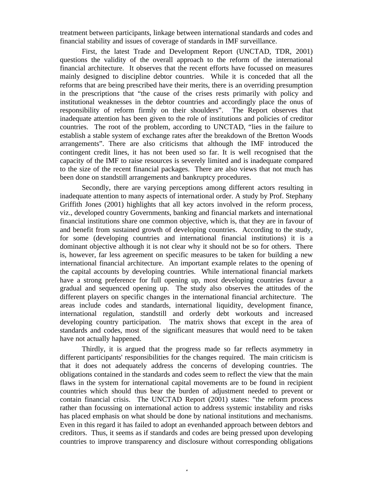treatment between participants, linkage between international standards and codes and financial stability and issues of coverage of standards in IMF surveillance.

First, the latest Trade and Development Report (UNCTAD, TDR, 2001) questions the validity of the overall approach to the reform of the international financial architecture. It observes that the recent efforts have focussed on measures mainly designed to discipline debtor countries. While it is conceded that all the reforms that are being prescribed have their merits, there is an overriding presumption in the prescriptions that "the cause of the crises rests primarily with policy and institutional weaknesses in the debtor countries and accordingly place the onus of responsibility of reform firmly on their shoulders". The Report observes that inadequate attention has been given to the role of institutions and policies of creditor countries. The root of the problem, according to UNCTAD, "lies in the failure to establish a stable system of exchange rates after the breakdown of the Bretton Woods arrangements". There are also criticisms that although the IMF introduced the contingent credit lines, it has not been used so far. It is well recognised that the capacity of the IMF to raise resources is severely limited and is inadequate compared to the size of the recent financial packages. There are also views that not much has been done on standstill arrangements and bankruptcy procedures.

Secondly, there are varying perceptions among different actors resulting in inadequate attention to many aspects of international order. A study by Prof. Stephany Griffith Jones (2001) highlights that all key actors involved in the reform process, viz., developed country Governments, banking and financial markets and international financial institutions share one common objective, which is, that they are in favour of and benefit from sustained growth of developing countries. According to the study, for some (developing countries and international financial institutions) it is a dominant objective although it is not clear why it should not be so for others. There is, however, far less agreement on specific measures to be taken for building a new international financial architecture. An important example relates to the opening of the capital accounts by developing countries. While international financial markets have a strong preference for full opening up, most developing countries favour a gradual and sequenced opening up. The study also observes the attitudes of the different players on specific changes in the international financial architecture. The areas include codes and standards, international liquidity, development finance, international regulation, standstill and orderly debt workouts and increased developing country participation. The matrix shows that except in the area of standards and codes, most of the significant measures that would need to be taken have not actually happened.

Thirdly, it is argued that the progress made so far reflects asymmetry in different participants' responsibilities for the changes required. The main criticism is that it does not adequately address the concerns of developing countries. The obligations contained in the standards and codes seem to reflect the view that the main flaws in the system for international capital movements are to be found in recipient countries which should thus bear the burden of adjustment needed to prevent or contain financial crisis. The UNCTAD Report (2001) states: "the reform process rather than focussing on international action to address systemic instability and risks has placed emphasis on what should be done by national institutions and mechanisms. Even in this regard it has failed to adopt an evenhanded approach between debtors and creditors. Thus, it seems as if standards and codes are being pressed upon developing countries to improve transparency and disclosure without corresponding obligations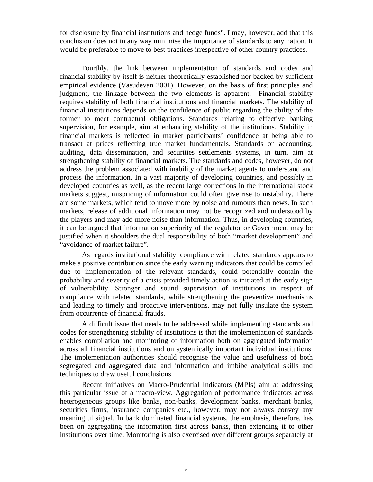for disclosure by financial institutions and hedge funds". I may, however, add that this conclusion does not in any way minimise the importance of standards to any nation. It would be preferable to move to best practices irrespective of other country practices.

Fourthly, the link between implementation of standards and codes and financial stability by itself is neither theoretically established nor backed by sufficient empirical evidence (Vasudevan 2001). However, on the basis of first principles and judgment, the linkage between the two elements is apparent. Financial stability requires stability of both financial institutions and financial markets. The stability of financial institutions depends on the confidence of public regarding the ability of the former to meet contractual obligations. Standards relating to effective banking supervision, for example, aim at enhancing stability of the institutions. Stability in financial markets is reflected in market participants' confidence at being able to transact at prices reflecting true market fundamentals. Standards on accounting, auditing, data dissemination, and securities settlements systems, in turn, aim at strengthening stability of financial markets. The standards and codes, however, do not address the problem associated with inability of the market agents to understand and process the information. In a vast majority of developing countries, and possibly in developed countries as well, as the recent large corrections in the international stock markets suggest, mispricing of information could often give rise to instability. There are some markets, which tend to move more by noise and rumours than news. In such markets, release of additional information may not be recognized and understood by the players and may add more noise than information. Thus, in developing countries, it can be argued that information superiority of the regulator or Government may be justified when it shoulders the dual responsibility of both "market development" and "avoidance of market failure".

As regards institutional stability, compliance with related standards appears to make a positive contribution since the early warning indicators that could be compiled due to implementation of the relevant standards, could potentially contain the probability and severity of a crisis provided timely action is initiated at the early sign of vulnerability. Stronger and sound supervision of institutions in respect of compliance with related standards, while strengthening the preventive mechanisms and leading to timely and proactive interventions, may not fully insulate the system from occurrence of financial frauds.

A difficult issue that needs to be addressed while implementing standards and codes for strengthening stability of institutions is that the implementation of standards enables compilation and monitoring of information both on aggregated information across all financial institutions and on systemically important individual institutions. The implementation authorities should recognise the value and usefulness of both segregated and aggregated data and information and imbibe analytical skills and techniques to draw useful conclusions.

Recent initiatives on Macro-Prudential Indicators (MPIs) aim at addressing this particular issue of a macro-view. Aggregation of performance indicators across heterogeneous groups like banks, non-banks, development banks, merchant banks, securities firms, insurance companies etc., however, may not always convey any meaningful signal. In bank dominated financial systems, the emphasis, therefore, has been on aggregating the information first across banks, then extending it to other institutions over time. Monitoring is also exercised over different groups separately at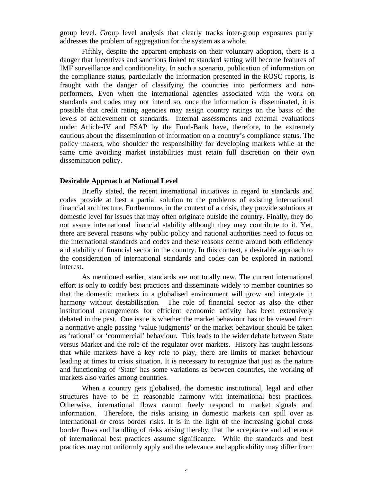group level. Group level analysis that clearly tracks inter-group exposures partly addresses the problem of aggregation for the system as a whole.

Fifthly, despite the apparent emphasis on their voluntary adoption, there is a danger that incentives and sanctions linked to standard setting will become features of IMF surveillance and conditionality. In such a scenario, publication of information on the compliance status, particularly the information presented in the ROSC reports, is fraught with the danger of classifying the countries into performers and nonperformers. Even when the international agencies associated with the work on standards and codes may not intend so, once the information is disseminated, it is possible that credit rating agencies may assign country ratings on the basis of the levels of achievement of standards. Internal assessments and external evaluations under Article-IV and FSAP by the Fund-Bank have, therefore, to be extremely cautious about the dissemination of information on a country's compliance status. The policy makers, who shoulder the responsibility for developing markets while at the same time avoiding market instabilities must retain full discretion on their own dissemination policy.

#### **Desirable Approach at National Level**

Briefly stated, the recent international initiatives in regard to standards and codes provide at best a partial solution to the problems of existing international financial architecture. Furthermore, in the context of a crisis, they provide solutions at domestic level for issues that may often originate outside the country. Finally, they do not assure international financial stability although they may contribute to it. Yet, there are several reasons why public policy and national authorities need to focus on the international standards and codes and these reasons centre around both efficiency and stability of financial sector in the country. In this context, a desirable approach to the consideration of international standards and codes can be explored in national interest.

As mentioned earlier, standards are not totally new. The current international effort is only to codify best practices and disseminate widely to member countries so that the domestic markets in a globalised environment will grow and integrate in harmony without destabilisation. The role of financial sector as also the other institutional arrangements for efficient economic activity has been extensively debated in the past. One issue is whether the market behaviour has to be viewed from a normative angle passing 'value judgments' or the market behaviour should be taken as 'rational' or 'commercial' behaviour. This leads to the wider debate between State versus Market and the role of the regulator over markets. History has taught lessons that while markets have a key role to play, there are limits to market behaviour leading at times to crisis situation. It is necessary to recognize that just as the nature and functioning of 'State' has some variations as between countries, the working of markets also varies among countries.

When a country gets globalised, the domestic institutional, legal and other structures have to be in reasonable harmony with international best practices. Otherwise, international flows cannot freely respond to market signals and information. Therefore, the risks arising in domestic markets can spill over as international or cross border risks. It is in the light of the increasing global cross border flows and handling of risks arising thereby, that the acceptance and adherence of international best practices assume significance. While the standards and best practices may not uniformly apply and the relevance and applicability may differ from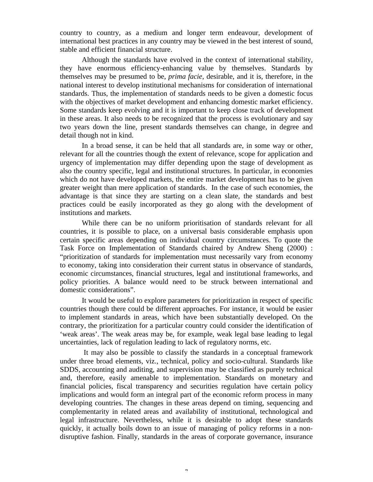country to country, as a medium and longer term endeavour, development of international best practices in any country may be viewed in the best interest of sound, stable and efficient financial structure.

Although the standards have evolved in the context of international stability, they have enormous efficiency-enhancing value by themselves. Standards by themselves may be presumed to be, *prima facie*, desirable, and it is, therefore, in the national interest to develop institutional mechanisms for consideration of international standards. Thus, the implementation of standards needs to be given a domestic focus with the objectives of market development and enhancing domestic market efficiency. Some standards keep evolving and it is important to keep close track of development in these areas. It also needs to be recognized that the process is evolutionary and say two years down the line, present standards themselves can change, in degree and detail though not in kind.

In a broad sense, it can be held that all standards are, in some way or other, relevant for all the countries though the extent of relevance, scope for application and urgency of implementation may differ depending upon the stage of development as also the country specific, legal and institutional structures. In particular, in economies which do not have developed markets, the entire market development has to be given greater weight than mere application of standards. In the case of such economies, the advantage is that since they are starting on a clean slate, the standards and best practices could be easily incorporated as they go along with the development of institutions and markets.

While there can be no uniform prioritisation of standards relevant for all countries, it is possible to place, on a universal basis considerable emphasis upon certain specific areas depending on individual country circumstances. To quote the Task Force on Implementation of Standards chaired by Andrew Sheng (2000) : "prioritization of standards for implementation must necessarily vary from economy to economy, taking into consideration their current status in observance of standards, economic circumstances, financial structures, legal and institutional frameworks, and policy priorities. A balance would need to be struck between international and domestic considerations".

It would be useful to explore parameters for prioritization in respect of specific countries though there could be different approaches. For instance, it would be easier to implement standards in areas, which have been substantially developed. On the contrary, the prioritization for a particular country could consider the identification of 'weak areas'. The weak areas may be, for example, weak legal base leading to legal uncertainties, lack of regulation leading to lack of regulatory norms, etc.

 It may also be possible to classify the standards in a conceptual framework under three broad elements, viz., technical, policy and socio-cultural. Standards like SDDS, accounting and auditing, and supervision may be classified as purely technical and, therefore, easily amenable to implementation. Standards on monetary and financial policies, fiscal transparency and securities regulation have certain policy implications and would form an integral part of the economic reform process in many developing countries. The changes in these areas depend on timing, sequencing and complementarity in related areas and availability of institutional, technological and legal infrastructure. Nevertheless, while it is desirable to adopt these standards quickly, it actually boils down to an issue of managing of policy reforms in a nondisruptive fashion. Finally, standards in the areas of corporate governance, insurance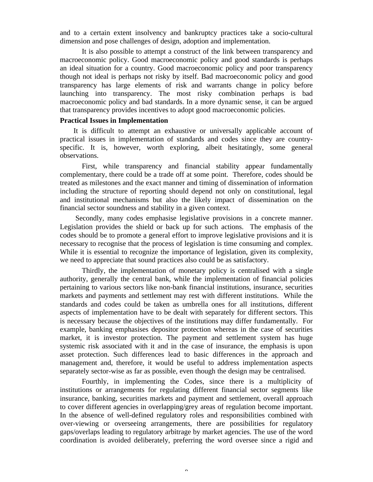and to a certain extent insolvency and bankruptcy practices take a socio-cultural dimension and pose challenges of design, adoption and implementation.

It is also possible to attempt a construct of the link between transparency and macroeconomic policy. Good macroeconomic policy and good standards is perhaps an ideal situation for a country. Good macroeconomic policy and poor transparency though not ideal is perhaps not risky by itself. Bad macroeconomic policy and good transparency has large elements of risk and warrants change in policy before launching into transparency. The most risky combination perhaps is bad macroeconomic policy and bad standards. In a more dynamic sense, it can be argued that transparency provides incentives to adopt good macroeconomic policies.

## **Practical Issues in Implementation**

It is difficult to attempt an exhaustive or universally applicable account of practical issues in implementation of standards and codes since they are countryspecific. It is, however, worth exploring, albeit hesitatingly, some general observations.

First, while transparency and financial stability appear fundamentally complementary, there could be a trade off at some point. Therefore, codes should be treated as milestones and the exact manner and timing of dissemination of information including the structure of reporting should depend not only on constitutional, legal and institutional mechanisms but also the likely impact of dissemination on the financial sector soundness and stability in a given context.

 Secondly, many codes emphasise legislative provisions in a concrete manner. Legislation provides the shield or back up for such actions. The emphasis of the codes should be to promote a general effort to improve legislative provisions and it is necessary to recognise that the process of legislation is time consuming and complex. While it is essential to recognize the importance of legislation, given its complexity, we need to appreciate that sound practices also could be as satisfactory.

Thirdly, the implementation of monetary policy is centralised with a single authority, generally the central bank, while the implementation of financial policies pertaining to various sectors like non-bank financial institutions, insurance, securities markets and payments and settlement may rest with different institutions. While the standards and codes could be taken as umbrella ones for all institutions, different aspects of implementation have to be dealt with separately for different sectors. This is necessary because the objectives of the institutions may differ fundamentally. For example, banking emphasises depositor protection whereas in the case of securities market, it is investor protection. The payment and settlement system has huge systemic risk associated with it and in the case of insurance, the emphasis is upon asset protection. Such differences lead to basic differences in the approach and management and, therefore, it would be useful to address implementation aspects separately sector-wise as far as possible, even though the design may be centralised.

Fourthly, in implementing the Codes, since there is a multiplicity of institutions or arrangements for regulating different financial sector segments like insurance, banking, securities markets and payment and settlement, overall approach to cover different agencies in overlapping/grey areas of regulation become important. In the absence of well-defined regulatory roles and responsibilities combined with over-viewing or overseeing arrangements, there are possibilities for regulatory gaps/overlaps leading to regulatory arbitrage by market agencies. The use of the word coordination is avoided deliberately, preferring the word oversee since a rigid and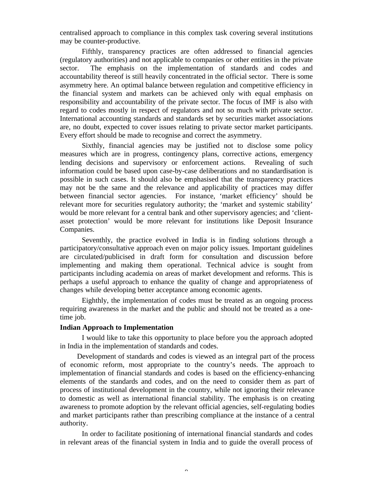centralised approach to compliance in this complex task covering several institutions may be counter-productive.

Fifthly, transparency practices are often addressed to financial agencies (regulatory authorities) and not applicable to companies or other entities in the private sector. The emphasis on the implementation of standards and codes and accountability thereof is still heavily concentrated in the official sector. There is some asymmetry here. An optimal balance between regulation and competitive efficiency in the financial system and markets can be achieved only with equal emphasis on responsibility and accountability of the private sector. The focus of IMF is also with regard to codes mostly in respect of regulators and not so much with private sector. International accounting standards and standards set by securities market associations are, no doubt, expected to cover issues relating to private sector market participants. Every effort should be made to recognise and correct the asymmetry.

Sixthly, financial agencies may be justified not to disclose some policy measures which are in progress, contingency plans, corrective actions, emergency lending decisions and supervisory or enforcement actions. Revealing of such information could be based upon case-by-case deliberations and no standardisation is possible in such cases. It should also be emphasised that the transparency practices may not be the same and the relevance and applicability of practices may differ between financial sector agencies. For instance, 'market efficiency' should be relevant more for securities regulatory authority; the 'market and systemic stability' would be more relevant for a central bank and other supervisory agencies; and 'clientasset protection' would be more relevant for institutions like Deposit Insurance Companies.

Seventhly, the practice evolved in India is in finding solutions through a participatory/consultative approach even on major policy issues. Important guidelines are circulated/publicised in draft form for consultation and discussion before implementing and making them operational. Technical advice is sought from participants including academia on areas of market development and reforms. This is perhaps a useful approach to enhance the quality of change and appropriateness of changes while developing better acceptance among economic agents.

Eighthly, the implementation of codes must be treated as an ongoing process requiring awareness in the market and the public and should not be treated as a onetime job.

#### **Indian Approach to Implementation**

I would like to take this opportunity to place before you the approach adopted in India in the implementation of standards and codes.

 Development of standards and codes is viewed as an integral part of the process of economic reform, most appropriate to the country's needs. The approach to implementation of financial standards and codes is based on the efficiency-enhancing elements of the standards and codes, and on the need to consider them as part of process of institutional development in the country, while not ignoring their relevance to domestic as well as international financial stability. The emphasis is on creating awareness to promote adoption by the relevant official agencies, self-regulating bodies and market participants rather than prescribing compliance at the instance of a central authority.

In order to facilitate positioning of international financial standards and codes in relevant areas of the financial system in India and to guide the overall process of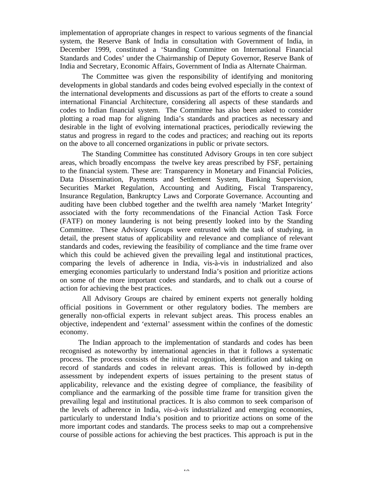implementation of appropriate changes in respect to various segments of the financial system, the Reserve Bank of India in consultation with Government of India, in December 1999, constituted a 'Standing Committee on International Financial Standards and Codes' under the Chairmanship of Deputy Governor, Reserve Bank of India and Secretary, Economic Affairs, Government of India as Alternate Chairman.

The Committee was given the responsibility of identifying and monitoring developments in global standards and codes being evolved especially in the context of the international developments and discussions as part of the efforts to create a sound international Financial Architecture, considering all aspects of these standards and codes to Indian financial system. The Committee has also been asked to consider plotting a road map for aligning India's standards and practices as necessary and desirable in the light of evolving international practices, periodically reviewing the status and progress in regard to the codes and practices; and reaching out its reports on the above to all concerned organizations in public or private sectors.

The Standing Committee has constituted Advisory Groups in ten core subject areas, which broadly encompass the twelve key areas prescribed by FSF, pertaining to the financial system. These are: Transparency in Monetary and Financial Policies, Data Dissemination, Payments and Settlement System, Banking Supervision, Securities Market Regulation, Accounting and Auditing, Fiscal Transparency, Insurance Regulation, Bankruptcy Laws and Corporate Governance. Accounting and auditing have been clubbed together and the twelfth area namely 'Market Integrity' associated with the forty recommendations of the Financial Action Task Force (FATF) on money laundering is not being presently looked into by the Standing Committee. These Advisory Groups were entrusted with the task of studying, in detail, the present status of applicability and relevance and compliance of relevant standards and codes, reviewing the feasibility of compliance and the time frame over which this could be achieved given the prevailing legal and institutional practices, comparing the levels of adherence in India, vis-à-vis in industrialized and also emerging economies particularly to understand India's position and prioritize actions on some of the more important codes and standards, and to chalk out a course of action for achieving the best practices.

All Advisory Groups are chaired by eminent experts not generally holding official positions in Government or other regulatory bodies. The members are generally non-official experts in relevant subject areas. This process enables an objective, independent and 'external' assessment within the confines of the domestic economy.

 The Indian approach to the implementation of standards and codes has been recognised as noteworthy by international agencies in that it follows a systematic process. The process consists of the initial recognition, identification and taking on record of standards and codes in relevant areas. This is followed by in-depth assessment by independent experts of issues pertaining to the present status of applicability, relevance and the existing degree of compliance, the feasibility of compliance and the earmarking of the possible time frame for transition given the prevailing legal and institutional practices. It is also common to seek comparison of the levels of adherence in India, *vis-à-vis* industrialized and emerging economies, particularly to understand India's position and to prioritize actions on some of the more important codes and standards. The process seeks to map out a comprehensive course of possible actions for achieving the best practices. This approach is put in the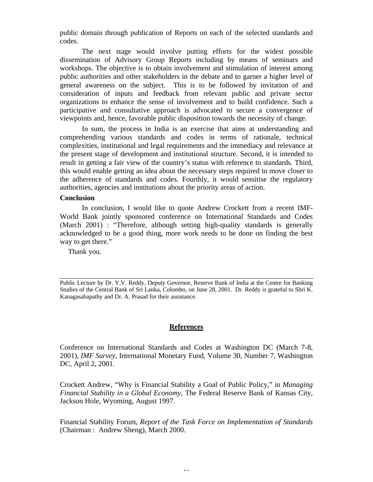public domain through publication of Reports on each of the selected standards and codes.

The next stage would involve putting efforts for the widest possible dissemination of Advisory Group Reports including by means of seminars and workshops. The objective is to obtain involvement and stimulation of interest among public authorities and other stakeholders in the debate and to garner a higher level of general awareness on the subject. This is to be followed by invitation of and consideration of inputs and feedback from relevant public and private sector organizations to enhance the sense of involvement and to build confidence. Such a participative and consultative approach is advocated to secure a convergence of viewpoints and, hence, favorable public disposition towards the necessity of change.

In sum, the process in India is an exercise that aims at understanding and comprehending various standards and codes in terms of rationale, technical complexities, institutional and legal requirements and the immediacy and relevance at the present stage of development and institutional structure. Second, it is intended to result in getting a fair view of the country's status with reference to standards. Third, this would enable getting an idea about the necessary steps required to move closer to the adherence of standards and codes. Fourthly, it would sensitise the regulatory authorities, agencies and institutions about the priority areas of action.

## **Conclusion**

In conclusion, I would like to quote Andrew Crockett from a recent IMF-World Bank jointly sponsored conference on International Standards and Codes (March 2001) : "Therefore, although setting high-quality standards is generally acknowledged to be a good thing, more work needs to be done on finding the best way to get there."

Thank you.

Public Lecture by Dr. Y.V. Reddy, Deputy Governor, Reserve Bank of India at the Centre for Banking Studies of the Central Bank of Sri Lanka, Colombo, on June 28, 2001. Dr. Reddy is grateful to Shri K. Kanagasabapathy and Dr. A. Prasad for their assistance.

# **References**

Conference on International Standards and Codes at Washington DC (March 7-8, 2001), *IMF Survey*, International Monetary Fund, Volume 30, Number 7, Washington DC, April 2, 2001.

Crockett Andrew, "Why is Financial Stability a Goal of Public Policy," in *Managing Financial Stability in a Global Economy,* The Federal Reserve Bank of Kansas City, Jackson Hole, Wyoming, August 1997.

Financial Stability Forum, *Report of the Task Force on Implementation of Standards* (Chairman : Andrew Sheng), March 2000.

11